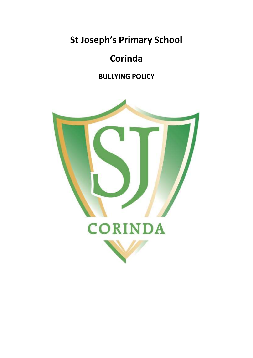# **St Joseph's Primary School**

# **Corinda**

## **BULLYING POLICY**

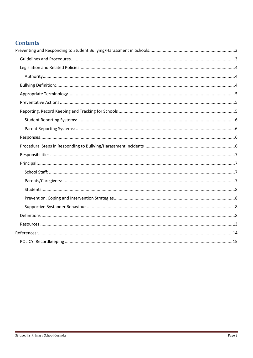## **Contents**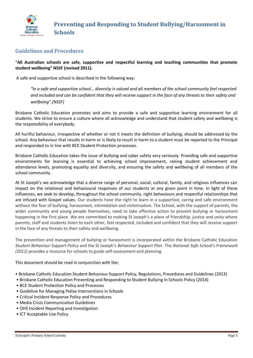<span id="page-2-0"></span>

## <span id="page-2-1"></span>**Guidelines and Procedures**

"**All Australian schools are safe, supportive and respectful learning and teaching communities that promote student wellbeing" NSSF (revised 2011).**

A safe and supportive school is described in the following way:

*"In a safe and supportive school… diversity is valued and all members of the school community feel respected and included and can be confident that they will receive support in the face of any threats to their safety and wellbeing".(NSSF)*

Brisbane Catholic Education promotes and aims to provide a safe and supportive learning environment for all students. We strive to ensure a culture where all acknowledge and understand that student safety and wellbeing is the responsibility of everybody.

All hurtful behaviour, irrespective of whether or not it meets the definition of bullying, should be addressed by the school. Any behaviour that results in harm or is likely to result in harm to a student must be reported to the Principal and responded to in line with BCE Student Protection processes.

Brisbane Catholic Education takes the issue of bullying and cyber safety very seriously. Providing safe and supportive environments for learning is essential to achieving school improvement, raising student achievement and attendance levels, promoting equality and diversity, and ensuring the safety and wellbeing of all members of the school community.

At St Joseph's we acknowledge that a diverse range of personal, social, cultural, family, and religious influences can impact on the relational and behavioural responses of our students at any given point in time. In light of these influences, we seek to develop, throughout the school community, right behaviours and respectful relationships that are infused with Gospel values. Our students have the right to learn in a supportive, caring and safe environment without the fear of bullying, harassment, intimidation and victimisation. The School, with the support of parents, the wider community and young people themselves, need to take effective action to prevent bullying or harassment happening in the first place. We are committed to making St Joseph's a place of friendship, justice and unity where parents, staff and students listen to each other, feel respected, included and confident that they will receive support in the face of any threats to their safety and wellbeing.

The prevention and management of bullying or harassment is incorporated within the Brisbane Catholic Education *Student Behaviour Support Policy* and the St Joseph's *Behaviour Support Plan*. The *National Safe School's Framework (2011)* provides a resource for schools to guide self-assessment and planning.

This document should be read in conjunction with the:

- Brisbane Catholic Education Student Behaviour Support Policy, Regulations, Procedures and Guidelines (2013)
- Brisbane Catholic Education Preventing and Responding to Student Bullying in Schools Policy (2014)
- BCE Student Protection Policy and Processes
- Guideline for Managing Police Interventions in Schools
- Critical Incident Response Policy and Procedures
- Media Crisis Communication Guidelines
- OHS Incident Reporting and Investigation
- ICT Acceptable Use Policy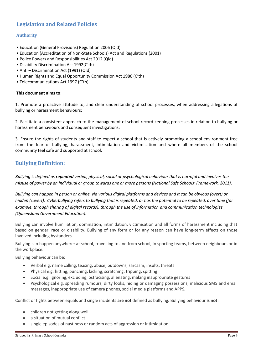## <span id="page-3-0"></span>**Legislation and Related Policies**

## <span id="page-3-1"></span>**Authority**

- Education (General Provisions) Regulation 2006 (Qld)
- Education (Accreditation of Non-State Schools) Act and Regulations (2001)
- Police Powers and Responsibilities Act 2012 (Qld)
- Disability Discrimination Act 1992(C'th)
- Anti Discrimination Act (1991) (Qld)
- Human Rights and Equal Opportunity Commission Act 1986 (C'th)
- Telecommunications Act 1997 (C'th)

#### **This document aims to**:

1. Promote a proactive attitude to, and clear understanding of school processes, when addressing allegations of bullying or harassment behaviours;

2. Facilitate a consistent approach to the management of school record keeping processes in relation to bullying or harassment behaviours and consequent investigations;

3. Ensure the rights of students and staff to expect a school that is actively promoting a school environment free from the fear of bullying, harassment, intimidation and victimisation and where all members of the school community feel safe and supported at school.

## <span id="page-3-2"></span>**Bullying Definition:**

*Bullying is defined as repeated verbal, physical, social or psychological behaviour that is harmful and involves the misuse of power by an individual or group towards one or more persons (National Safe Schools' Framework, 2011).*

*Bullying can happen in person or online, via various digital platforms and devices and it can be obvious (overt) or hidden (covert). Cyberbullying refers to bullying that is repeated, or has the potential to be repeated, over time (for example, through sharing of digital records), through the use of information and communication technologies (Queensland Government Education).*

Bullying can involve humiliation, domination, intimidation, victimisation and all forms of harassment including that based on gender, race or disability. Bullying of any form or for any reason can have long-term effects on those involved including bystanders.

Bullying can happen anywhere: at school, travelling to and from school, in sporting teams, between neighbours or in the workplace.

Bullying behaviour can be:

- Verbal e.g. name calling, teasing, abuse, putdowns, sarcasm, insults, threats
- Physical e.g. hitting, punching, kicking, scratching, tripping, spitting
- Social e.g. ignoring, excluding, ostracising, alienating, making inappropriate gestures
- Psychological e.g. spreading rumours, dirty looks, hiding or damaging possessions, malicious SMS and email messages, inappropriate use of camera phones, social media platforms and APPS.

Conflict or fights between equals and single incidents **are not** defined as bullying. Bullying behaviour **is not**:

- children not getting along well
- a situation of mutual conflict
- single episodes of nastiness or random acts of aggression or intimidation.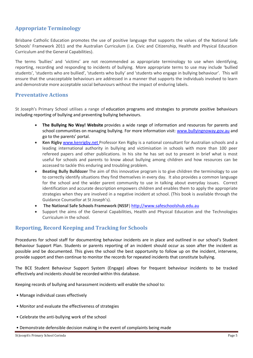## <span id="page-4-0"></span>**Appropriate Terminology**

Brisbane Catholic Education promotes the use of positive language that supports the values of the National Safe Schools' Framework 2011 and the Australian Curriculum (i.e. Civic and Citizenship, Health and Physical Education Curriculum and the General Capabilities).

The terms 'bullies' and 'victims' are not recommended as appropriate terminology to use when identifying, reporting, recording and responding to incidents of bullying. More appropriate terms to use may include 'bullied students', 'students who are bullied', 'students who bully' and 'students who engage in bullying behaviour'. This will ensure that the unacceptable behaviours are addressed in a manner that supports the individuals involved to learn and demonstrate more acceptable social behaviours without the impact of enduring labels.

#### <span id="page-4-1"></span>**Preventative Actions**

St Joseph's Primary School utilises a range of education programs and strategies to promote positive behaviours including reporting of bullying and preventing bullying behaviours.

- **The Bullying No Way! Website** provides a wide range of information and resources for parents and school communities on managing bullying. For more information visit: [www.bullyingnoway.gov.au](http://www.bullyingnoway.gov.au/) and go to the parents' portal.
- **Ken Rigby** [www.kenrigby.net](http://www.kenrigby.net/) Professor Ken Rigby is a national consultant for Australian schools and a leading international authority in bullying and victimisation in schools with more than 100 peer refereed papers and other publications. In his site he has set out to present in brief what is most useful for schools and parents to know about bullying among children and how resources can be accessed to tackle this enduring and troubling problem.
- **Beating Bully Bulldozer** The aim of this innovative program is to give children the terminology to use to correctly identify situations they find themselves in every day. It also provides a common language for the school and the wider parent community to use in talking about everyday issues. Correct identification and accurate description empowers children and enables them to apply the appropriate strategies when they are involved in a negative incident at school. (This book is available through the Guidance Counsellor at St Joseph's).
- **The National Safe Schools Framework (NSSF**) [http://www.safeschoolshub.edu.au](http://www.safeschoolshub.edu.au/)
- Support the aims of the General Capabilities, Health and Physical Education and the Technologies Curriculum in the school.

## <span id="page-4-2"></span>**Reporting, Record Keeping and Tracking for Schools**

Procedures for school staff for documenting behaviour incidents are in place and outlined in our school's Student Behaviour Support Plan. Students or parents reporting of an incident should occur as soon after the incident as possible and be documented. This gives the school the best opportunity to follow up on the incident, intervene, provide support and then continue to monitor the records for repeated incidents that constitute bullying.

The BCE Student Behaviour Support System (Engage) allows for frequent behaviour incidents to be tracked effectively and incidents should be recorded within this database.

Keeping records of bullying and harassment incidents will enable the school to:

- Manage individual cases effectively
- Monitor and evaluate the effectiveness of strategies
- Celebrate the anti-bullying work of the school
- Demonstrate defensible decision making in the event of complaints being made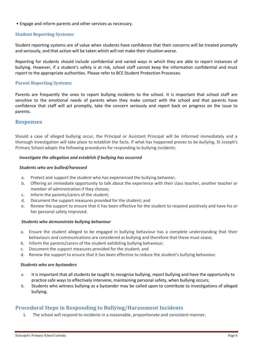• Engage and inform parents and other services as necessary.

#### <span id="page-5-0"></span>**Student Reporting Systems:**

Student reporting systems are of value when students have confidence that their concerns will be treated promptly and seriously, and that action will be taken which will not make their situation worse.

Reporting for students should include confidential and varied ways in which they are able to report instances of bullying. However, if a student's safety is at risk, school staff cannot keep the information confidential and must report to the appropriate authorities. Please refer to BCE Student Protection Processes.

#### <span id="page-5-1"></span>**Parent Reporting Systems:**

Parents are frequently the ones to report bullying incidents to the school. It is important that school staff are sensitive to the emotional needs of parents when they make contact with the school and that parents have confidence that staff will act promptly, take the concern seriously and report back on progress on the issue to parents.

#### <span id="page-5-2"></span>**Responses**

Should a case of alleged bullying occur, the Principal or Assistant Principal will be informed immediately and a thorough investigation will take place to establish the facts. If what has happened proves to be *bullying,* St Joseph's Primary School adopts the following procedures for responding to bullying incidents:

#### *Investigate the allegation and establish if bullying has occurred*

#### *Students who are bullied/harassed*

- a. Protect and support the student who has experienced the bullying behavior;
- b. Offering an immediate opportunity to talk about the experience with their class teacher, another teacher or member of administration if they choose;
- c. Inform the parents/carers of the student;
- d. Document the support measures provided for the student; and
- e. Review the support to ensure that it has been effective for the student to respond positively and have his or her personal safety improved.

#### *Students who demonstrate bullying behaviour*

- a. Ensure the student alleged to be engaged in bullying behaviour has a complete understanding that their behaviours and communications are considered as bullying and therefore that these must cease;
- b. Inform the parents/carers of the student exhibiting bullying behaviour;
- c. Document the support measures provided for the student; and
- d. Review the support to ensure that it has been effective to reduce the student's bullying behaviour.

#### *Students who are bystanders*

- a. It is important that all students be taught to recognise bullying, report bullying and have the opportunity to practice safe ways to effectively intervene, maintaining personal safety, when bullying occurs;
- b. Students who witness bullying as a bystander may be called upon to contribute to investigations of alleged bullying.

## <span id="page-5-3"></span>**Procedural Steps in Responding to Bullying/Harassment Incidents**

1. The school will respond to incidents in a reasonable, proportionate and consistent manner;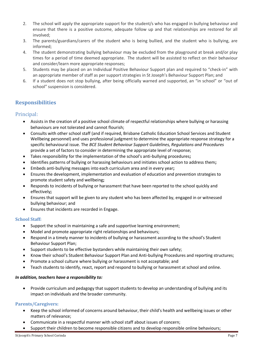- 2. The school will apply the appropriate support for the student/s who has engaged in bullying behaviour and ensure that there is a positive outcome, adequate follow up and that relationships are restored for all involved;
- 3. The parents/guardians/carers of the student who is being bullied, and the student who is bullying, are informed;
- 4. The student demonstrating bullying behaviour may be excluded from the playground at break and/or play times for a period of time deemed appropriate. The student will be assisted to reflect on their behaviour and consider/learn more appropriate responses;
- 5. Students may be placed on an Individual Positive Behaviour Support plan and required to "check-in" with an appropriate member of staff as per support strategies in St Joseph's Behaviour Support Plan; and
- 6. If a student does not stop bullying, after being officially warned and supported, an "in school" or "out of school" suspension is considered.

## <span id="page-6-0"></span>**Responsibilities**

#### <span id="page-6-1"></span>Principal:

- Assists in the creation of a positive school climate of respectful relationships where bullying or harassing behaviours are not tolerated and cannot flourish;
- Consults with other school staff (and if required, Brisbane Catholic Education School Services and Student Wellbeing personnel) and uses professional judgment to determine the appropriate response strategy for a specific behavioural issue. The *BCE Student Behaviour Support Guidelines, Regulations and Procedures* provide a set of factors to consider in determining the appropriate level of response;
- Takes responsibility for the implementation of the school's anti-bullying procedures**;**
- Identifies patterns of bullying or harassing behaviours and initiates school action to address them**;**
- Embeds anti-bullying messages into each curriculum area and in every year**;**
- Ensures the development, implementation and evaluation of education and prevention strategies to promote student safety and wellbeing**;**
- Responds to incidents of bullying or harassment that have been reported to the school quickly and effectively**;**
- Ensures that support will be given to any student who has been affected by, engaged in or witnessed bullying behaviour; and
- Ensures that incidents are recorded in Engage.

#### <span id="page-6-2"></span>**School Staff:**

- Support the school in maintaining a safe and supportive learning environment;
- Model and promote appropriate right relationships and behaviours;
- Respond in a timely manner to incidents of bullying or harassment according to the school's Student Behaviour Support Plan;
- Support students to be effective bystanders while maintaining their own safety;
- Know their school's Student Behaviour Support Plan and Anti-bullying Procedures and reporting structures;
- Promote a school culture where bullying or harassment is not acceptable; and
- Teach students to identify, react, report and respond to bullying or harassment at school and online.

#### *In addition, teachers have a responsibility to:*

 Provide curriculum and pedagogy that support students to develop an understanding of bullying and its impact on individuals and the broader community.

#### <span id="page-6-3"></span>**Parents/Caregivers:**

- Keep the school informed of concerns around behaviour, their child's health and wellbeing issues or other matters of relevance;
- Communicate in a respectful manner with school staff about issues of concern;
- Support their children to become responsible citizens and to develop responsible online behaviours;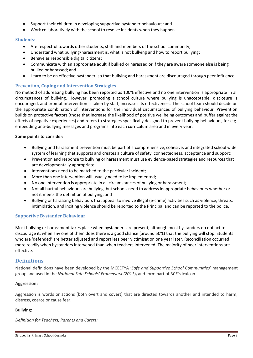- Support their children in developing supportive bystander behaviours; and
- Work collaboratively with the school to resolve incidents when they happen.

#### <span id="page-7-0"></span>**Students:**

- Are respectful towards other students, staff and members of the school community;
- Understand what bullying/harassment is, what is not bullying and how to report bullying;
- Behave as responsible digital citizens;
- Communicate with an appropriate adult if bullied or harassed or if they are aware someone else is being bullied or harassed; and
- Learn to be an effective bystander, so that bullying and harassment are discouraged through peer influence.

#### <span id="page-7-1"></span>**Prevention, Coping and Intervention Strategies**

No method of addressing bullying has been reported as 100% effective and no one intervention is appropriate in all circumstances of bullying. However, promoting a school culture where bullying is unacceptable, disclosure is encouraged, and prompt intervention is taken by staff, increases its effectiveness. The school team should decide on the appropriate combination of interventions for the individual circumstances of bullying behaviour. Prevention builds on protective factors (those that increase the likelihood of positive wellbeing outcomes and buffer against the effects of negative experiences) and refers to strategies specifically designed to prevent bullying behaviours, for e.g. embedding anti-bullying messages and programs into each curriculum area and in every year.

#### **Some points to consider:**

- Bullying and harassment prevention must be part of a comprehensive, cohesive, and integrated school wide system of learning that supports and creates a culture of safety, connectedness, acceptance and support;
- Prevention and response to bullying or harassment must use evidence-based strategies and resources that are developmentally appropriate;
- Interventions need to be matched to the particular incident;
- More than one intervention will usually need to be implemented;
- No one intervention is appropriate in all circumstances of bullying or harassment;
- Not all hurtful behaviours are bullying, but schools need to address inappropriate behaviours whether or not it meets the definition of bullying; and
- Bullying or harassing behaviours that appear to involve illegal (e-crime) activities such as violence, threats, intimidation, and inciting violence should be reported to the Principal and can be reported to the police.

#### <span id="page-7-2"></span>**Supportive Bystander Behaviour**

Most bullying or harassment takes place when bystanders are present; although most bystanders do not act to discourage it, when any one of them does there is a good chance (around 50%) that the bullying will stop. Students who are 'defended' are better adjusted and report less peer victimisation one year later. Reconciliation occurred more readily when bystanders intervened than when teachers intervened. The majority of peer interventions are effective.

## <span id="page-7-3"></span>**Definitions**

National definitions have been developed by the MCEETYA '*Safe and Supportive School Communities*' management group and used in the *National Safe Schools' Framework (2011***),** and form part of BCE's lexicon.

#### **Aggression:**

Aggression is words or actions (both overt and covert) that are directed towards another and intended to harm, distress, coerce or cause fear.

#### **Bullying:**

*Definition for Teachers, Parents and Carers:*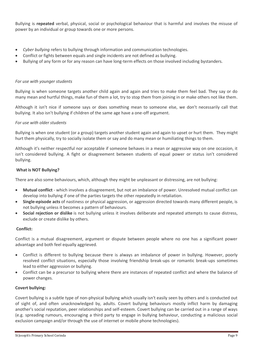Bullying is **repeated** verbal, physical, social or psychological behaviour that is harmful and involves the misuse of power by an individual or group towards one or more persons.

- *Cyber bullying* refers to bullying through information and communication technologies.
- Conflict or fights between equals and single incidents are not defined as bullying.
- Bullying of any form or for any reason can have long-term effects on those involved including bystanders.

#### *For use with younger students*

Bullying is when someone targets another child again and again and tries to make them feel bad. They say or do many mean and hurtful things, make fun of them a lot, try to stop them from joining in or make others not like them.

Although it isn't nice if someone says or does something mean to someone else, we don't necessarily call that bullying. It also isn't bullying if children of the same age have a one-off argument.

#### *For use with older students*

Bullying is when one student (or a group) targets another student again and again to upset or hurt them. They might hurt them physically, try to socially isolate them or say and do many mean or humiliating things to them.

Although it's neither respectful nor acceptable if someone behaves in a mean or aggressive way on one occasion, it isn't considered bullying. A fight or disagreement between students of equal power or status isn't considered bullying.

#### **What is NOT Bullying?**

There are also some behaviours, which, although they might be unpleasant or distressing, are not bullying:

- **Mutual conflict** which involves a disagreement, but not an imbalance of power. Unresolved mutual conflict can develop into bullying if one of the parties targets the other repeatedly in retaliation.
- **Single-episode acts** of nastiness or physical aggression, or aggression directed towards many different people, is not bullying unless it becomes a pattern of behaviours.
- **Social rejection or dislike** is not bullying unless it involves deliberate and repeated attempts to cause distress, exclude or create dislike by others.

#### **Conflict:**

Conflict is a mutual disagreement, argument or dispute between people where no one has a significant power advantage and both feel equally aggrieved.

- Conflict is different to bullying because there is always an imbalance of power in bullying. However, poorly resolved conflict situations, especially those involving friendship break-ups or romantic break-ups sometimes lead to either aggression or bullying.
- Conflict can be a precursor to bullying where there are instances of repeated conflict and where the balance of power changes.

#### **Covert bullying:**

Covert bullying is a subtle type of non-physical bullying which usually isn't easily seen by others and is conducted out of sight of, and often unacknowledged by, adults. Covert bullying behaviours mostly inflict harm by damaging another's social reputation, peer relationships and self-esteem. Covert bullying can be carried out in a range of ways (e.g. spreading rumours, encouraging a third party to engage in bullying behaviour, conducting a malicious social exclusion campaign and/or through the use of internet or mobile phone technologies).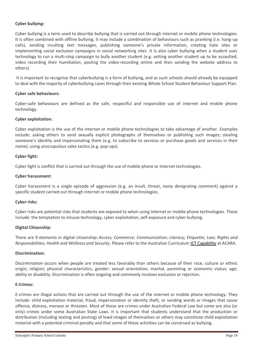#### **Cyber bullying:**

Cyber bullying is a term used to describe bullying that is carried out through internet or mobile phone technologies. It is often combined with offline bullying. It may include a combination of behaviours such as pranking (i.e. hang-up calls), sending insulting text messages, publishing someone's private information, creating hate sites or implementing social exclusion campaigns in social networking sites. It is also cyber bullying when a student uses technology to run a multi-step campaign to bully another student (e.g. setting another student up to be assaulted, video recording their humiliation, posting the video-recording online and then sending the website address to others).

It is important to recognize that cyberbullying is a form of bullying, and as such schools should already be equipped to deal with the majority of cyberbullying cases through their existing Whole School Student Behaviour Support Plan.

#### **Cyber safe behaviours:**

Cyber-safe behaviours are defined as the safe, respectful and responsible use of internet and mobile phone technology.

#### **Cyber exploitation:**

Cyber exploitation is the use of the internet or mobile phone technologies to take advantage of another. Examples include: asking others to send sexually explicit photographs of themselves or publishing such images; stealing someone's identity and impersonating them (e.g. to subscribe to services or purchase goods and services in their name); using unscrupulous sales tactics (e.g. pop-ups).

#### **Cyber fight:**

Cyber fight is conflict that is carried out through the use of mobile phone or Internet technologies.

#### **Cyber harassment:**

Cyber harassment is a single episode of aggression (e.g. an insult, threat, nasty denigrating comment) against a specific student carried out through internet or mobile phone technologies.

#### **Cyber risks:**

Cyber risks are potential risks that students are exposed to when using Internet or mobile phone technologies. These include: the temptation to misuse technology, cyber exploitation, self-exposure and cyber bullying.

#### **Digital Citizenship:**

There are 9 elements in digital citizenship**:** *Access; Commerce; Communication; Literacy; Etiquette; Law; Rights and Responsibilities; Health and Wellness and Security*. Please refer to the Australian Curriculum [ICT Capability](http://www.australiancurriculum.edu.au/GeneralCapabilities/Information-and-Communication-Technology-capability/Continuum#page=2) at ACARA.

#### **Discrimination:**

Discrimination occurs when people are treated less favorably than others because of their race, culture or ethnic origin; religion; physical characteristics; gender; sexual orientation; marital, parenting or economic status; age; ability or disability. Discrimination is often ongoing and commonly involves exclusion or rejection.

#### **E-Crimes:**

E-crimes are illegal actions that are carried out through the use of the internet or mobile phone technology. They include: child exploitation material, fraud, impersonation or identity theft, or sending words or images that cause offence, distress, menace or threaten. Most of these are crimes under Australian Federal Law but some are also (or only) crimes under some Australian State Laws. It is important that students understand that the production or distribution (including texting and posting) of lewd images of themselves or others may constitute child exploitation material with a potential criminal penalty and that some of these activities can be construed as bullying.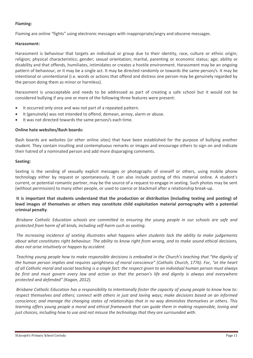#### **Flaming:**

Flaming are online "fights" using electronic messages with inappropriate/angry and obscene messages.

#### **Harassment:**

Harassment is behaviour that targets an individual or group due to their identity, race, culture or ethnic origin; religion; physical characteristics; gender; sexual orientation; marital, parenting or economic status; age; ability or disability and that offends, humiliates, intimidates or creates a hostile environment. Harassment may be an ongoing pattern of behaviour, or it may be a single act. It may be directed randomly or towards the same person/s. It may be intentional or unintentional (i.e. words or actions that offend and distress one person may be genuinely regarded by the person doing them as minor or harmless).

Harassment is unacceptable and needs to be addressed as part of creating a safe school but it would not be considered bullying if any one or more of the following three features were present:

- It occurred only once and was not part of a repeated pattern.
- It (genuinely) was not intended to offend, demean, annoy, alarm or abuse.
- It was not directed towards the same person/s each time.

#### **Online hate websites/Bash boards:**

Bash boards are websites (or other online sites) that have been established for the purpose of bullying another student. They contain insulting and contemptuous remarks or images and encourage others to sign on and indicate their hatred of a nominated person and add more disparaging comments.

#### **Sexting:**

Sexting is the sending of sexually explicit messages or photographs of oneself or others, using mobile phone technology either by request or spontaneously. It can also include posting of this material online. A student's current, or potential romantic partner, may be the source of a request to engage in sexting. Such photos may be sent (without permission) to many other people, or used to coerce or blackmail after a relationship break-up.

**It is important that students understand that the production or distribution (including texting and posting) of lewd images of themselves or others may constitute child exploitation material pornography with a potential criminal penalty***.*

*Brisbane Catholic Education schools are committed to ensuring the young people in our schools are safe and protected from harm of all kinds, including self-harm such as sexting.*

*The increasing incidence of sexting illustrates what happens when students lack the ability to make judgements about what constitutes right behaviour. The ability to know right from wrong, and to make sound ethical decisions, does not arise intuitively or happen by accident.*

*Teaching young people how to make responsible decisions is embodied in the Church's teaching that "the dignity of the human person implies and requires uprightness of moral conscience" (Catholic Church, 1776). For, "at the heart of all Catholic moral and social teaching is a single fact: the respect given to an individual human person must always be first and must govern every law and action so that the person's life and dignity is always and everywhere protected and defended" (Kagan, 2012).*

*Brisbane Catholic Education has a responsibility to intentionally foster the capacity of young people to know how to: respect themselves and others; connect with others in just and loving ways; make decisions based on an informed conscience; and manage the changing states of relationships that in no way diminishes themselves or others. This learning offers young people a moral and ethical framework that can quide them in making responsible, loving and just choices, including how to use and not misuse the technology that they are surrounded with.*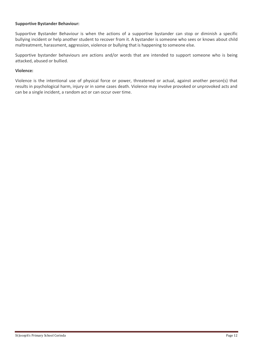#### **Supportive Bystander Behaviour:**

Supportive Bystander Behaviour is when the actions of a supportive bystander can stop or diminish a specific bullying incident or help another student to recover from it. A bystander is someone who sees or knows about child maltreatment, harassment, aggression, violence or bullying that is happening to someone else.

Supportive bystander behaviours are actions and/or words that are intended to support someone who is being attacked, abused or bullied.

#### **Violence:**

Violence is the intentional use of physical force or power, threatened or actual, against another person(s) that results in psychological harm, injury or in some cases death. Violence may involve provoked or unprovoked acts and can be a single incident, a random act or can occur over time.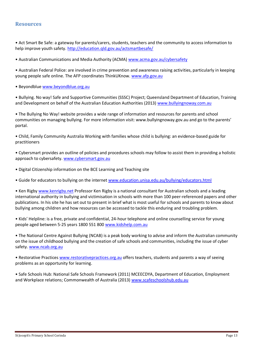#### <span id="page-12-0"></span>**Resources**

• Act Smart Be Safe: a gateway for parents/carers, students, teachers and the community to access information to help improve youth safety[. http://education.qld.gov.au/actsmartbesafe/](http://education.qld.gov.au/actsmartbesafe/)

• Australian Communications and Media Authority (ACMA) [www.acma.gov.au/cybersafety](http://www.acma.gov.au/cybersafety)

• Australian Federal Police: are involved in crime prevention and awareness raising activities, particularly in keeping young people safe online. The AFP coordinates ThinkUKnow. [www.afp.gov.au](http://www.afp.gov.au/)

• Beyondblue [www.beyondblue.org.au](http://www.beyondblue.org.au/)

• Bullying. No way! Safe and Supportive Communities (SSSC) Project; Queensland Department of Education, Training and Development on behalf of the Australian Education Authorities (2013) [www.bullyingnoway.com.au](http://www.bullyingnoway.com.au/)

• The Bullying No Way! website provides a wide range of information and resources for parents and school communities on managing bullying. For more information visit: www.bullyingnoway.gov.au and go to the parents' portal.

• Child, Family Community Australia Working with families whose child is bullying: an evidence-based guide for practitioners

• Cybersmart provides an outline of policies and procedures schools may follow to assist them in providing a holistic approach to cybersafety[. www.cybersmart.gov.au](http://www.cybersmart.gov.au/)

• Digital Citizenship information on the BCE Learning and Teaching site

• Guide for educators to bullying on the internet [www.education.unisa.edu.au/bullying/educators.html](http://www.education.unisa.edu.au/bullying/educators.html)

• Ken Rigby <www.kenrigby.net> Professor Ken Rigby is a national consultant for Australian schools and a leading international authority in bullying and victimisation in schools with more than 100 peer-referenced papers and other publications. In his site he has set out to present in brief what is most useful for schools and parents to know about bullying among children and how resources can be accessed to tackle this enduring and troubling problem.

• Kids' Helpline: is a free, private and confidential, 24-hour telephone and online counselling service for young people aged between 5-25 years 1800 551 800 [www.kidshelp.com.au](http://www.kidshelp.com.au/)

• The National Centre Against Bullying (NCAB) is a peak body working to advise and inform the Australian community on the issue of childhood bullying and the creation of safe schools and communities, including the issue of cyber safety. [www.ncab.org.au](http://www.ncab.org.au/)

• Restorative Practices <www.restorativepractices.org.au> offers teachers, students and parents a way of seeing problems as an opportunity for learning.

• Safe Schools Hub: National Safe Schools Framework (2011) MCEECDYA, Department of Education, Employment and Workplace relations; Commonwealth of Australia (2013) [www.scafeschoolshub.edu.au](http://www.scafeschoolshub.edu.au/)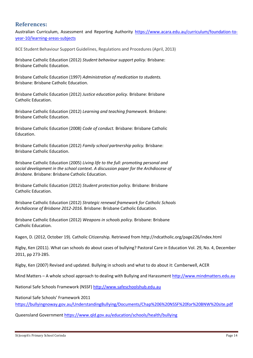### <span id="page-13-0"></span>**References:**

Australian Curriculum, Assessment and Reporting Authority [https://www.acara.edu.au/curriculum/foundation-to](https://www.acara.edu.au/curriculum/foundation-to-year-10/learning-areas-subjects)[year-10/learning-areas-subjects](https://www.acara.edu.au/curriculum/foundation-to-year-10/learning-areas-subjects)

BCE Student Behaviour Support Guidelines, Regulations and Procedures (April, 2013)

Brisbane Catholic Education (2012) *Student behaviour support policy.* Brisbane: Brisbane Catholic Education.

Brisbane Catholic Education (1997) *Administration of medication to students.* Brisbane: Brisbane Catholic Education.

Brisbane Catholic Education (2012) *Justice education policy.* Brisbane: Brisbane Catholic Education.

Brisbane Catholic Education (2012) *Learning and teaching framework.* Brisbane: Brisbane Catholic Education.

Brisbane Catholic Education (2008) *Code of conduct.* Brisbane: Brisbane Catholic Education.

Brisbane Catholic Education (2012) *Family school partnership policy.* Brisbane: Brisbane Catholic Education.

Brisbane Catholic Education (2005) *Living life to the full: promoting personal and social development in the school context. A discussion paper for the Archdiocese of Brisbane.* Brisbane: Brisbane Catholic Education.

Brisbane Catholic Education (2012) *Student protection policy.* Brisbane: Brisbane Catholic Education.

Brisbane Catholic Education (2012) *Strategic renewal framework for Catholic Schools Archdiocese of Brisbane 2012-2016.* Brisbane: Brisbane Catholic Education.

Brisbane Catholic Education (2012) *Weapons in schools policy.* Brisbane: Brisbane Catholic Education.

Kagen, D. (2012, October 19). Catholic Citizenship. Retrieved from http://ndcatholic.org/page226/index.html

Rigby, Ken (2011). What can schools do about cases of bullying? Pastoral Care in Education Vol. 29, No. 4, December 2011, pp 273-285.

Rigby, Ken (2007) Revised and updated. Bullying in schools and what to do about it: Camberwell, ACER

Mind Matters – A whole school approach to dealing with Bullying and Harassment [http://www.mindmatters.edu.au](http://www.mindmatters.edu.au/)

National Safe Schools Framework (NSSF) [http://www.safeschoolshub.edu.au](http://www.safeschoolshub.edu.au/)

National Safe Schools' Framework 2011

<https://bullyingnoway.gov.au/UnderstandingBullying/Documents/Chap%206%20NSSF%20for%20BNW%20site.pdf>

Queensland Government<https://www.qld.gov.au/education/schools/health/bullying>